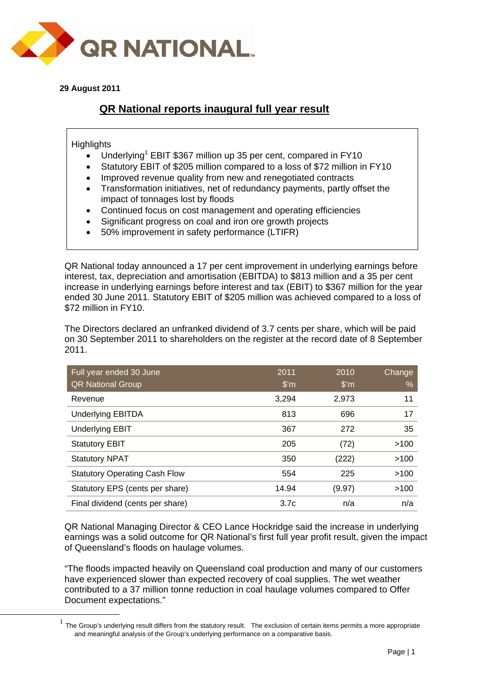

**29 August 2011** 

# **QR National reports inaugural full year result**

**Highlights** 

- Underlying<sup>1</sup> EBIT \$367 million up 35 per cent, compared in FY10
- Statutory EBIT of \$205 million compared to a loss of \$72 million in FY10
- Improved revenue quality from new and renegotiated contracts
- Transformation initiatives, net of redundancy payments, partly offset the impact of tonnages lost by floods
- Continued focus on cost management and operating efficiencies
- Significant progress on coal and iron ore growth projects
- 50% improvement in safety performance (LTIFR)

QR National today announced a 17 per cent improvement in underlying earnings before interest, tax, depreciation and amortisation (EBITDA) to \$813 million and a 35 per cent increase in underlying earnings before interest and tax (EBIT) to \$367 million for the year ended 30 June 2011. Statutory EBIT of \$205 million was achieved compared to a loss of \$72 million in FY10.

The Directors declared an unfranked dividend of 3.7 cents per share, which will be paid on 30 September 2011 to shareholders on the register at the record date of 8 September 2011.

| Full year ended 30 June<br><b>QR National Group</b> | 2011<br>$\mathsf{S}'$ m | 2010<br>$\mathsf{S}'$ m | Change<br>% |
|-----------------------------------------------------|-------------------------|-------------------------|-------------|
| Revenue                                             | 3,294                   | 2,973                   | 11          |
| <b>Underlying EBITDA</b>                            | 813                     | 696                     | 17          |
| <b>Underlying EBIT</b>                              | 367                     | 272                     | 35          |
| <b>Statutory EBIT</b>                               | 205                     | (72)                    | >100        |
| <b>Statutory NPAT</b>                               | 350                     | (222)                   | >100        |
| <b>Statutory Operating Cash Flow</b>                | 554                     | 225                     | >100        |
| Statutory EPS (cents per share)                     | 14.94                   | (9.97)                  | >100        |
| Final dividend (cents per share)                    | 3.7 <sub>c</sub>        | n/a                     | n/a         |

QR National Managing Director & CEO Lance Hockridge said the increase in underlying earnings was a solid outcome for QR National's first full year profit result, given the impact of Queensland's floods on haulage volumes.

"The floods impacted heavily on Queensland coal production and many of our customers have experienced slower than expected recovery of coal supplies. The wet weather contributed to a 37 million tonne reduction in coal haulage volumes compared to Offer Document expectations."

 $<sup>1</sup>$  The Group's underlying result differs from the statutory result. The exclusion of certain items permits a more appropriate</sup> and meaningful analysis of the Group's underlying performance on a comparative basis.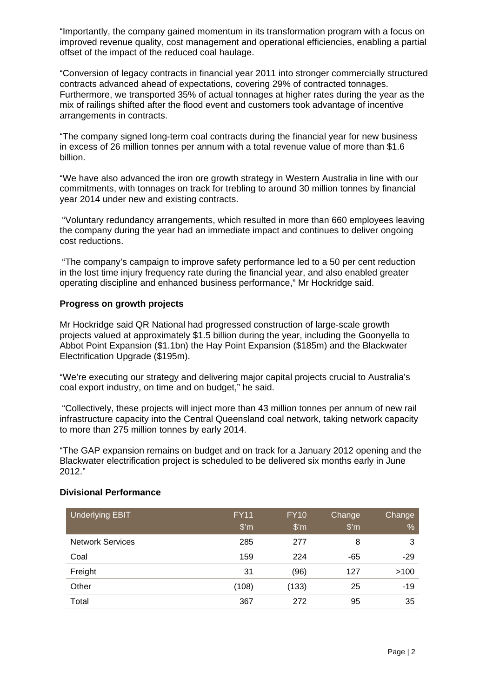"Importantly, the company gained momentum in its transformation program with a focus on improved revenue quality, cost management and operational efficiencies, enabling a partial offset of the impact of the reduced coal haulage.

"Conversion of legacy contracts in financial year 2011 into stronger commercially structured contracts advanced ahead of expectations, covering 29% of contracted tonnages. Furthermore, we transported 35% of actual tonnages at higher rates during the year as the mix of railings shifted after the flood event and customers took advantage of incentive arrangements in contracts.

"The company signed long-term coal contracts during the financial year for new business in excess of 26 million tonnes per annum with a total revenue value of more than \$1.6 billion.

"We have also advanced the iron ore growth strategy in Western Australia in line with our commitments, with tonnages on track for trebling to around 30 million tonnes by financial year 2014 under new and existing contracts.

 "Voluntary redundancy arrangements, which resulted in more than 660 employees leaving the company during the year had an immediate impact and continues to deliver ongoing cost reductions.

 "The company's campaign to improve safety performance led to a 50 per cent reduction in the lost time injury frequency rate during the financial year, and also enabled greater operating discipline and enhanced business performance," Mr Hockridge said.

## **Progress on growth projects**

Mr Hockridge said QR National had progressed construction of large-scale growth projects valued at approximately \$1.5 billion during the year, including the Goonyella to Abbot Point Expansion (\$1.1bn) the Hay Point Expansion (\$185m) and the Blackwater Electrification Upgrade (\$195m).

"We're executing our strategy and delivering major capital projects crucial to Australia's coal export industry, on time and on budget," he said.

 "Collectively, these projects will inject more than 43 million tonnes per annum of new rail infrastructure capacity into the Central Queensland coal network, taking network capacity to more than 275 million tonnes by early 2014.

"The GAP expansion remains on budget and on track for a January 2012 opening and the Blackwater electrification project is scheduled to be delivered six months early in June 2012."

| Underlying EBIT         | <b>FY11</b><br>$\mathsf{\$}'$ m | <b>FY10</b><br>$\mathsf{\$}^{\prime}$ m | Change<br>$\mathsf{\$}'$ m | Change<br>% |
|-------------------------|---------------------------------|-----------------------------------------|----------------------------|-------------|
| <b>Network Services</b> | 285                             | 277                                     | 8                          | 3           |
| Coal                    | 159                             | 224                                     | -65                        | $-29$       |
| Freight                 | 31                              | (96)                                    | 127                        | >100        |
| Other                   | (108)                           | (133)                                   | 25                         | $-19$       |
| Total                   | 367                             | 272                                     | 95                         | 35          |

### **Divisional Performance**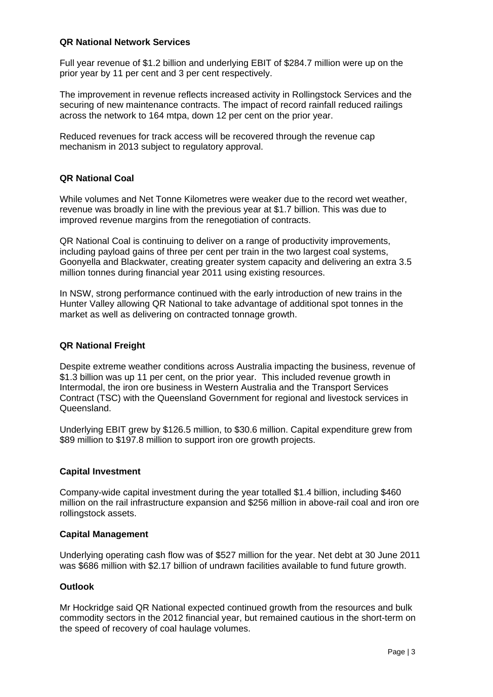## **QR National Network Services**

Full year revenue of \$1.2 billion and underlying EBIT of \$284.7 million were up on the prior year by 11 per cent and 3 per cent respectively.

The improvement in revenue reflects increased activity in Rollingstock Services and the securing of new maintenance contracts. The impact of record rainfall reduced railings across the network to 164 mtpa, down 12 per cent on the prior year.

Reduced revenues for track access will be recovered through the revenue cap mechanism in 2013 subject to regulatory approval.

# **QR National Coal**

While volumes and Net Tonne Kilometres were weaker due to the record wet weather, revenue was broadly in line with the previous year at \$1.7 billion. This was due to improved revenue margins from the renegotiation of contracts.

QR National Coal is continuing to deliver on a range of productivity improvements, including payload gains of three per cent per train in the two largest coal systems, Goonyella and Blackwater, creating greater system capacity and delivering an extra 3.5 million tonnes during financial year 2011 using existing resources.

In NSW, strong performance continued with the early introduction of new trains in the Hunter Valley allowing QR National to take advantage of additional spot tonnes in the market as well as delivering on contracted tonnage growth.

# **QR National Freight**

Despite extreme weather conditions across Australia impacting the business, revenue of \$1.3 billion was up 11 per cent, on the prior year. This included revenue growth in Intermodal, the iron ore business in Western Australia and the Transport Services Contract (TSC) with the Queensland Government for regional and livestock services in Queensland.

Underlying EBIT grew by \$126.5 million, to \$30.6 million. Capital expenditure grew from \$89 million to \$197.8 million to support iron ore growth projects.

### **Capital Investment**

Company-wide capital investment during the year totalled \$1.4 billion, including \$460 million on the rail infrastructure expansion and \$256 million in above-rail coal and iron ore rollingstock assets.

### **Capital Management**

Underlying operating cash flow was of \$527 million for the year. Net debt at 30 June 2011 was \$686 million with \$2.17 billion of undrawn facilities available to fund future growth.

# **Outlook**

Mr Hockridge said QR National expected continued growth from the resources and bulk commodity sectors in the 2012 financial year, but remained cautious in the short-term on the speed of recovery of coal haulage volumes.